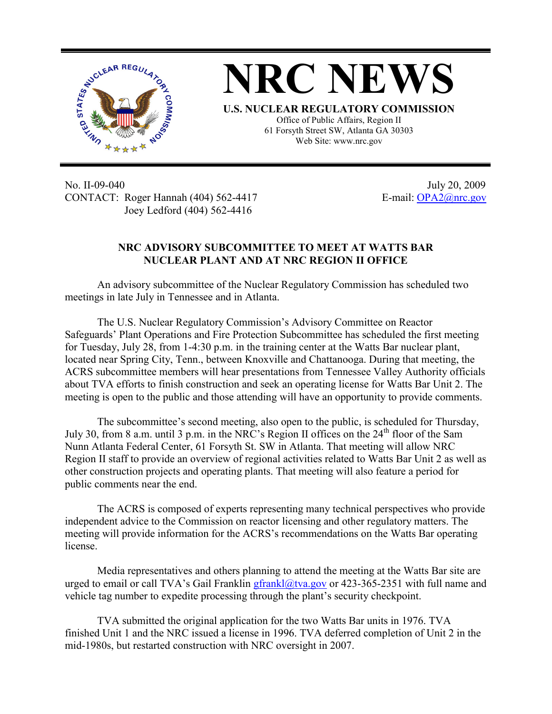

No. II-09-040 July 20, 2009 CONTACT: Roger Hannah (404) 562-4417 E-mail: OPA2@nrc.gov Joey Ledford (404) 562-4416

## **NRC ADVISORY SUBCOMMITTEE TO MEET AT WATTS BAR NUCLEAR PLANT AND AT NRC REGION II OFFICE**

An advisory subcommittee of the Nuclear Regulatory Commission has scheduled two meetings in late July in Tennessee and in Atlanta.

The U.S. Nuclear Regulatory Commission's Advisory Committee on Reactor Safeguards' Plant Operations and Fire Protection Subcommittee has scheduled the first meeting for Tuesday, July 28, from 1-4:30 p.m. in the training center at the Watts Bar nuclear plant, located near Spring City, Tenn., between Knoxville and Chattanooga. During that meeting, the ACRS subcommittee members will hear presentations from Tennessee Valley Authority officials about TVA efforts to finish construction and seek an operating license for Watts Bar Unit 2. The meeting is open to the public and those attending will have an opportunity to provide comments.

The subcommittee's second meeting, also open to the public, is scheduled for Thursday, July 30, from 8 a.m. until 3 p.m. in the NRC's Region II offices on the 24<sup>th</sup> floor of the Sam Nunn Atlanta Federal Center, 61 Forsyth St. SW in Atlanta. That meeting will allow NRC Region II staff to provide an overview of regional activities related to Watts Bar Unit 2 as well as other construction projects and operating plants. That meeting will also feature a period for public comments near the end.

The ACRS is composed of experts representing many technical perspectives who provide independent advice to the Commission on reactor licensing and other regulatory matters. The meeting will provide information for the ACRS's recommendations on the Watts Bar operating license.

Media representatives and others planning to attend the meeting at the Watts Bar site are urged to email or call TVA's Gail Franklin gfrankl@tva.gov or 423-365-2351 with full name and vehicle tag number to expedite processing through the plant's security checkpoint.

TVA submitted the original application for the two Watts Bar units in 1976. TVA finished Unit 1 and the NRC issued a license in 1996. TVA deferred completion of Unit 2 in the mid-1980s, but restarted construction with NRC oversight in 2007.